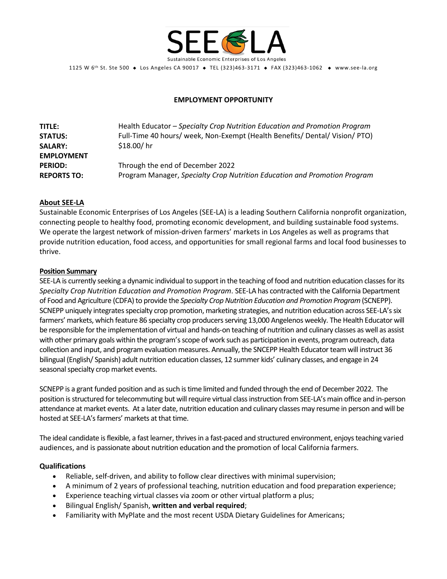

1125 W 6<sup>th</sup> St. Ste 500 ◆ Los Angeles CA 90017 ◆ TEL (323)463-3171 ◆ FAX (323)463-1062 ◆ www.see-la.org

# **EMPLOYMENT OPPORTUNITY**

| <b>TITLE:</b>      | Health Educator - Specialty Crop Nutrition Education and Promotion Program  |
|--------------------|-----------------------------------------------------------------------------|
| <b>STATUS:</b>     | Full-Time 40 hours/ week, Non-Exempt (Health Benefits/ Dental/ Vision/ PTO) |
| <b>SALARY:</b>     | \$18.00/hr                                                                  |
| <b>EMPLOYMENT</b>  |                                                                             |
| <b>PERIOD:</b>     | Through the end of December 2022                                            |
| <b>REPORTS TO:</b> | Program Manager, Specialty Crop Nutrition Education and Promotion Program   |

## **About SEE-LA**

Sustainable Economic Enterprises of Los Angeles (SEE-LA) is a leading Southern California nonprofit organization, connecting people to healthy food, promoting economic development, and building sustainable food systems. We operate the largest network of mission-driven farmers' markets in Los Angeles as well as programs that provide nutrition education, food access, and opportunities for small regional farms and local food businesses to thrive.

## **Position Summary**

SEE-LA is currently seeking a dynamic individual to support in the teaching of food and nutrition education classes for its *Specialty Crop Nutrition Education and Promotion Program*. SEE-LA has contracted with the California Department of Food and Agriculture (CDFA) to provide the *Specialty Crop Nutrition Education and Promotion Program* (SCNEPP). SCNEPP uniquely integrates specialty crop promotion, marketing strategies, and nutrition education across SEE-LA's six farmers' markets, which feature 86 specialty crop producers serving 13,000 Angelenos weekly. The Health Educator will be responsible for the implementation of virtual and hands-on teaching of nutrition and culinary classes as well as assist with other primary goals within the program's scope of work such as participation in events, program outreach, data collection and input, and program evaluation measures. Annually, the SNCEPP Health Educator team will instruct 36 bilingual (English/ Spanish) adult nutrition education classes, 12 summer kids' culinary classes, and engage in 24 seasonal specialty crop market events.

SCNEPP is a grant funded position and as such is time limited and funded through the end of December 2022. The position is structured for telecommuting but willrequire virtual classinstruction from SEE-LA's main office and in-person attendance at market events. At a later date, nutrition education and culinary classes may resume in person and will be hosted at SEE-LA's farmers' markets at that time.

The ideal candidate isflexible, a fast learner, thrives in a fast-paced and structured environment, enjoysteaching varied audiences, and is passionate about nutrition education and the promotion of local California farmers.

### **Qualifications**

- Reliable, self-driven, and ability to follow clear directives with minimal supervision;
- A minimum of 2 years of professional teaching, nutrition education and food preparation experience;
- Experience teaching virtual classes via zoom or other virtual platform a plus;
- Bilingual English/ Spanish, **written and verbal required**;
- Familiarity with MyPlate and the most recent USDA Dietary Guidelines for Americans;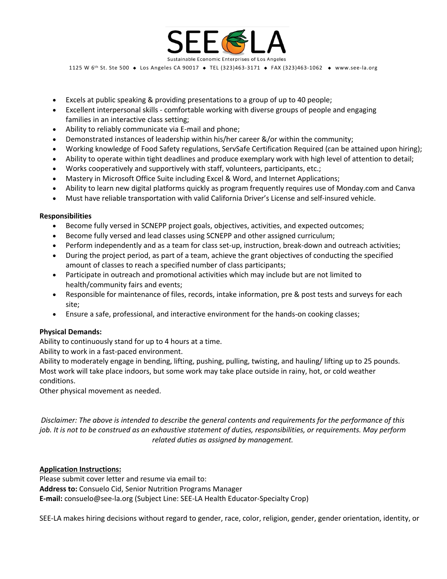

1125 W 6<sup>th</sup> St. Ste 500 ◆ Los Angeles CA 90017 ◆ TEL (323)463-3171 ◆ FAX (323)463-1062 ◆ www.see-la.org

- Excels at public speaking & providing presentations to a group of up to 40 people;
- Excellent interpersonal skills comfortable working with diverse groups of people and engaging families in an interactive class setting;
- Ability to reliably communicate via E-mail and phone;
- Demonstrated instances of leadership within his/her career &/or within the community;
- Working knowledge of Food Safety regulations, ServSafe Certification Required (can be attained upon hiring);
- Ability to operate within tight deadlines and produce exemplary work with high level of attention to detail;
- Works cooperatively and supportively with staff, volunteers, participants, etc.;
- Mastery in Microsoft Office Suite including Excel & Word, and Internet Applications;
- Ability to learn new digital platforms quickly as program frequently requires use of Monday.com and Canva
- Must have reliable transportation with valid California Driver's License and self-insured vehicle.

#### **Responsibilities**

- Become fully versed in SCNEPP project goals, objectives, activities, and expected outcomes;
- Become fully versed and lead classes using SCNEPP and other assigned curriculum;
- Perform independently and as a team for class set-up, instruction, break-down and outreach activities;
- During the project period, as part of a team, achieve the grant objectives of conducting the specified amount of classes to reach a specified number of class participants;
- Participate in outreach and promotional activities which may include but are not limited to health/community fairs and events;
- Responsible for maintenance of files, records, intake information, pre & post tests and surveys for each site;
- Ensure a safe, professional, and interactive environment for the hands-on cooking classes;

### **Physical Demands:**

Ability to continuously stand for up to 4 hours at a time.

Ability to work in a fast-paced environment.

Ability to moderately engage in bending, lifting, pushing, pulling, twisting, and hauling/ lifting up to 25 pounds. Most work will take place indoors, but some work may take place outside in rainy, hot, or cold weather conditions.

Other physical movement as needed.

*Disclaimer: The above is intended to describe the general contents and requirements for the performance of this job. It is not to be construed as an exhaustive statement of duties, responsibilities, or requirements. May perform related duties as assigned by management.*

### **Application Instructions:**

Please submit cover letter and resume via email to: **Address to:** Consuelo Cid, Senior Nutrition Programs Manager **E-mail:** consuelo@see-la.org (Subject Line: SEE-LA Health Educator-Specialty Crop)

SEE-LA makes hiring decisions without regard to gender, race, color, religion, gender, gender orientation, identity, or